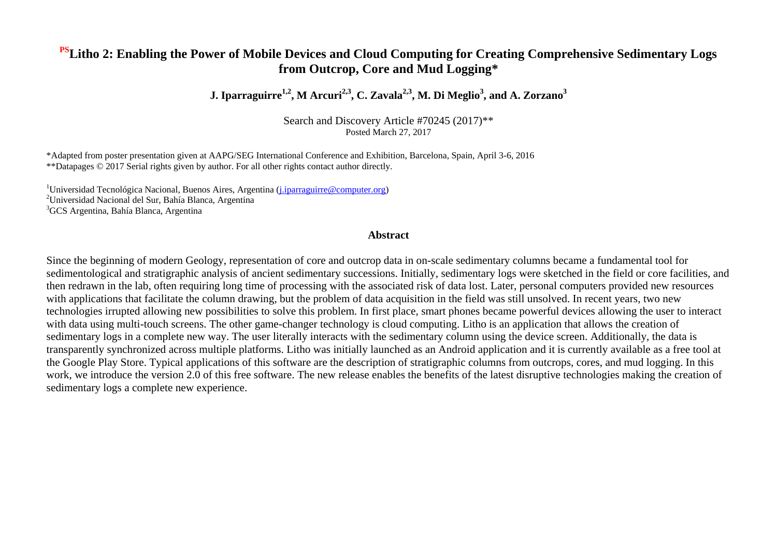## **PSLitho 2: Enabling the Power of Mobile Devices and Cloud Computing for Creating Comprehensive Sedimentary Logs from Outcrop, Core and Mud Logging\***

**J. Iparraguirre1,2, M Arcuri2,3, C. Zavala2,3, M. Di Meglio<sup>3</sup> , and A. Zorzano<sup>3</sup>**

Search and Discovery Article #70245 (2017)\*\* Posted March 27, 2017

\*Adapted from poster presentation given at AAPG/SEG International Conference and Exhibition, Barcelona, Spain, April 3-6, 2016 \*\*Datapages © 2017 Serial rights given by author. For all other rights contact author directly.

 $1$ Universidad Tecnológica Nacional, Buenos Aires, Argentina (j. *iparraguirre* @computer.org) <sup>2</sup>Universidad Nacional del Sur, Bahía Blanca, Argentina <sup>3</sup>GCS Argentina, Bahía Blanca, Argentina

## **Abstract**

Since the beginning of modern Geology, representation of core and outcrop data in on-scale sedimentary columns became a fundamental tool for sedimentological and stratigraphic analysis of ancient sedimentary successions. Initially, sedimentary logs were sketched in the field or core facilities, and then redrawn in the lab, often requiring long time of processing with the associated risk of data lost. Later, personal computers provided new resources with applications that facilitate the column drawing, but the problem of data acquisition in the field was still unsolved. In recent years, two new technologies irrupted allowing new possibilities to solve this problem. In first place, smart phones became powerful devices allowing the user to interact with data using multi-touch screens. The other game-changer technology is cloud computing. Litho is an application that allows the creation of sedimentary logs in a complete new way. The user literally interacts with the sedimentary column using the device screen. Additionally, the data is transparently synchronized across multiple platforms. Litho was initially launched as an Android application and it is currently available as a free tool at the Google Play Store. Typical applications of this software are the description of stratigraphic columns from outcrops, cores, and mud logging. In this work, we introduce the version 2.0 of this free software. The new release enables the benefits of the latest disruptive technologies making the creation of sedimentary logs a complete new experience.